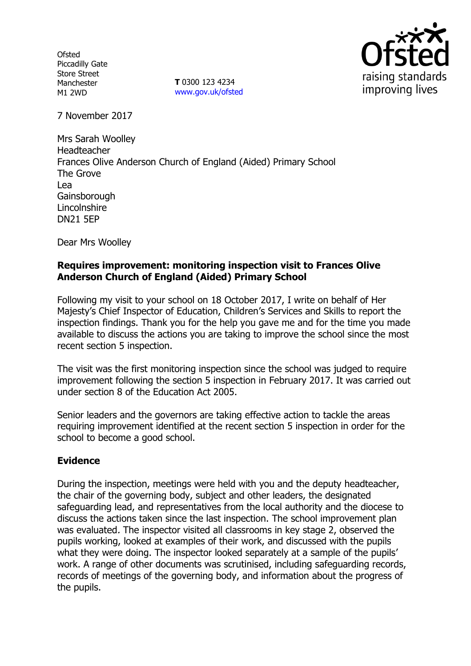**Ofsted** Piccadilly Gate Store Street Manchester M1 2WD

**T** 0300 123 4234 www.gov.uk/ofsted



7 November 2017

Mrs Sarah Woolley Headteacher Frances Olive Anderson Church of England (Aided) Primary School The Grove Lea **Gainsborough** Lincolnshire DN21 5EP

Dear Mrs Woolley

## **Requires improvement: monitoring inspection visit to Frances Olive Anderson Church of England (Aided) Primary School**

Following my visit to your school on 18 October 2017, I write on behalf of Her Majesty's Chief Inspector of Education, Children's Services and Skills to report the inspection findings. Thank you for the help you gave me and for the time you made available to discuss the actions you are taking to improve the school since the most recent section 5 inspection.

The visit was the first monitoring inspection since the school was judged to require improvement following the section 5 inspection in February 2017. It was carried out under section 8 of the Education Act 2005.

Senior leaders and the governors are taking effective action to tackle the areas requiring improvement identified at the recent section 5 inspection in order for the school to become a good school.

## **Evidence**

During the inspection, meetings were held with you and the deputy headteacher, the chair of the governing body, subject and other leaders, the designated safeguarding lead, and representatives from the local authority and the diocese to discuss the actions taken since the last inspection. The school improvement plan was evaluated. The inspector visited all classrooms in key stage 2, observed the pupils working, looked at examples of their work, and discussed with the pupils what they were doing. The inspector looked separately at a sample of the pupils' work. A range of other documents was scrutinised, including safeguarding records, records of meetings of the governing body, and information about the progress of the pupils.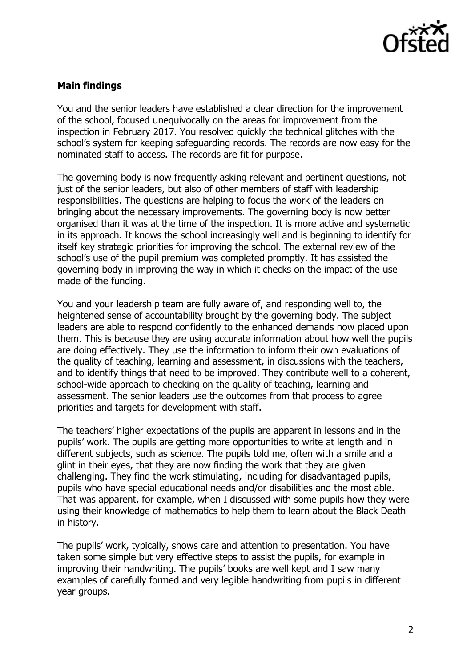

## **Main findings**

You and the senior leaders have established a clear direction for the improvement of the school, focused unequivocally on the areas for improvement from the inspection in February 2017. You resolved quickly the technical glitches with the school's system for keeping safeguarding records. The records are now easy for the nominated staff to access. The records are fit for purpose.

The governing body is now frequently asking relevant and pertinent questions, not just of the senior leaders, but also of other members of staff with leadership responsibilities. The questions are helping to focus the work of the leaders on bringing about the necessary improvements. The governing body is now better organised than it was at the time of the inspection. It is more active and systematic in its approach. It knows the school increasingly well and is beginning to identify for itself key strategic priorities for improving the school. The external review of the school's use of the pupil premium was completed promptly. It has assisted the governing body in improving the way in which it checks on the impact of the use made of the funding.

You and your leadership team are fully aware of, and responding well to, the heightened sense of accountability brought by the governing body. The subject leaders are able to respond confidently to the enhanced demands now placed upon them. This is because they are using accurate information about how well the pupils are doing effectively. They use the information to inform their own evaluations of the quality of teaching, learning and assessment, in discussions with the teachers, and to identify things that need to be improved. They contribute well to a coherent, school-wide approach to checking on the quality of teaching, learning and assessment. The senior leaders use the outcomes from that process to agree priorities and targets for development with staff.

The teachers' higher expectations of the pupils are apparent in lessons and in the pupils' work. The pupils are getting more opportunities to write at length and in different subjects, such as science. The pupils told me, often with a smile and a glint in their eyes, that they are now finding the work that they are given challenging. They find the work stimulating, including for disadvantaged pupils, pupils who have special educational needs and/or disabilities and the most able. That was apparent, for example, when I discussed with some pupils how they were using their knowledge of mathematics to help them to learn about the Black Death in history.

The pupils' work, typically, shows care and attention to presentation. You have taken some simple but very effective steps to assist the pupils, for example in improving their handwriting. The pupils' books are well kept and I saw many examples of carefully formed and very legible handwriting from pupils in different year groups.